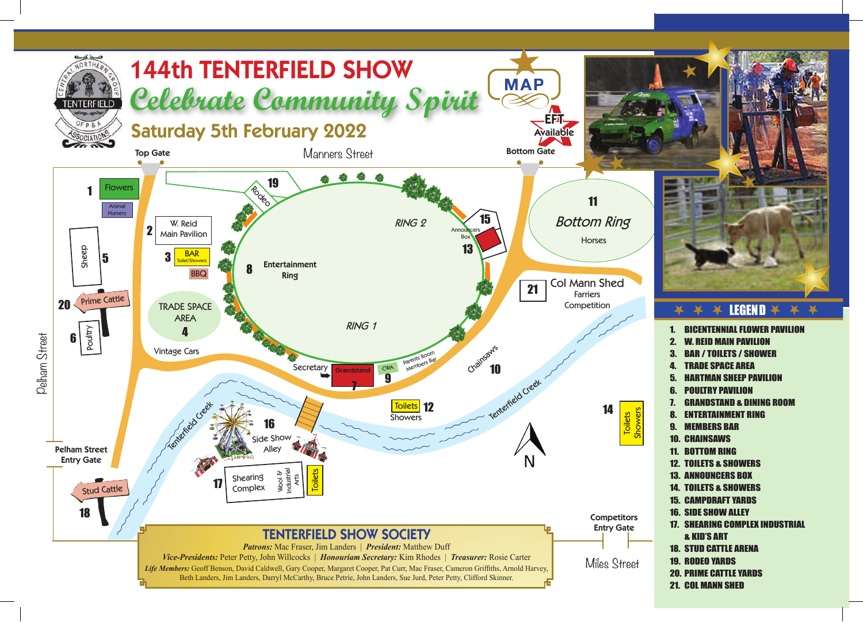